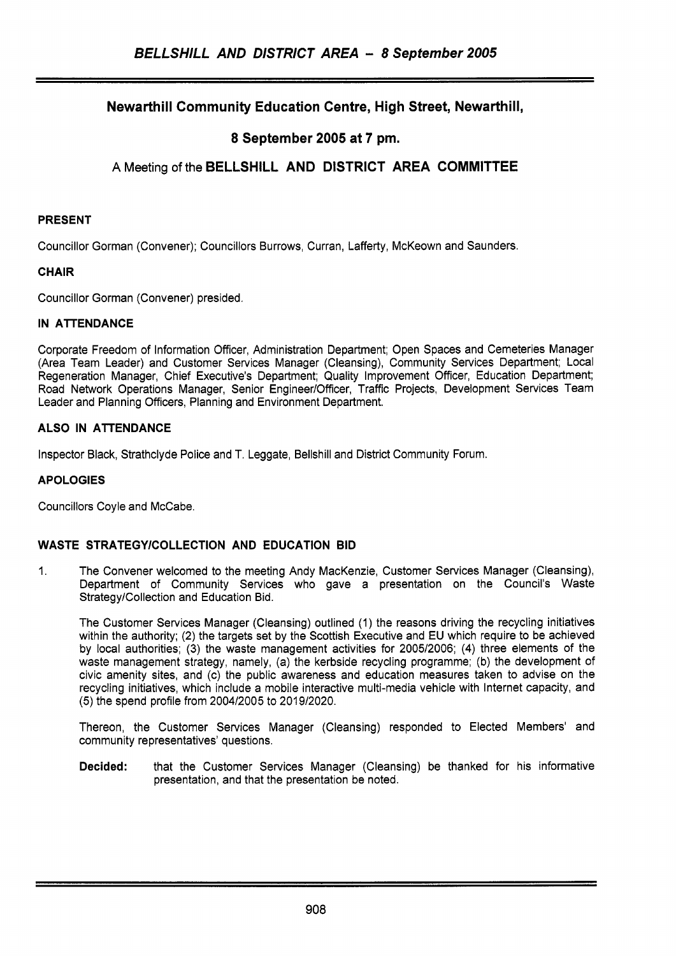# **Newarthill Community Education Centre, High Street, Newarthill,**

# **8 September 2005 at 7 pm.**

# **A** Meeting of the **BELLSHILL AND DISTRICT AREA COMMITTEE**

#### **PRESENT**

Councillor Gorman (Convener); Councillors Burrows, Curran, Lafferty, McKeown and Saunders.

~ ~~~ ~~~ ~~

#### **CHAIR**

Councillor Gorman (Convener) presided.

#### **IN ATTENDANCE**

Corporate Freedom of Information Officer, Administration Department; Open Spaces and Cemeteries Manager (Area Team Leader) and Customer Services Manager (Cleansing), Community Services Department; Local Regeneration Manager, Chief Executive's Department; Quality Improvement Officer, Education Department; Road Network Operations Manager, Senior Engineer/Officer, Traffic Projects, Development Services Team Leader and Planning Officers, Planning and Environment Department.

## **ALSO IN ATTENDANCE**

Inspector Black, Strathclyde Police and T. Leggate, Bellshill and District Community Forum.

#### **APOLOGIES**

Councillors Coyle and McCabe.

### **WASTE STRATEGYlCOLLECTlON AND EDUCATION BID**

1. The Convener welcomed to the meeting Andy MacKenzie, Customer Services Manager (Cleansing), Department of Community Services who gave a presentation on the Council's Waste Strategy/Collection and Education Bid.

The Customer Services Manager (Cleansing) outlined (1) the reasons driving the recycling initiatives within the authority; (2) the targets set by the Scottish Executive and EU which require to be achieved by local authorities; (3) the waste management activities for 2005/2006; **(4)** three elements of the waste management strategy, namely, (a) the kerbside recycling programme; (b) the development of civic amenity sites, and (c) the public awareness and education measures taken to advise on the recycling initiatives, which include a mobile interactive multi-media vehicle with lnternet capacity, and (5) the spend profile from 200412005 to 201 9/2020.

Thereon, the Customer Services Manager (Cleansing) responded to Elected Members' and community representatives' questions.

**Decided:** that the Customer Services Manager (Cleansing) be thanked for his informative presentation, and that the presentation be noted.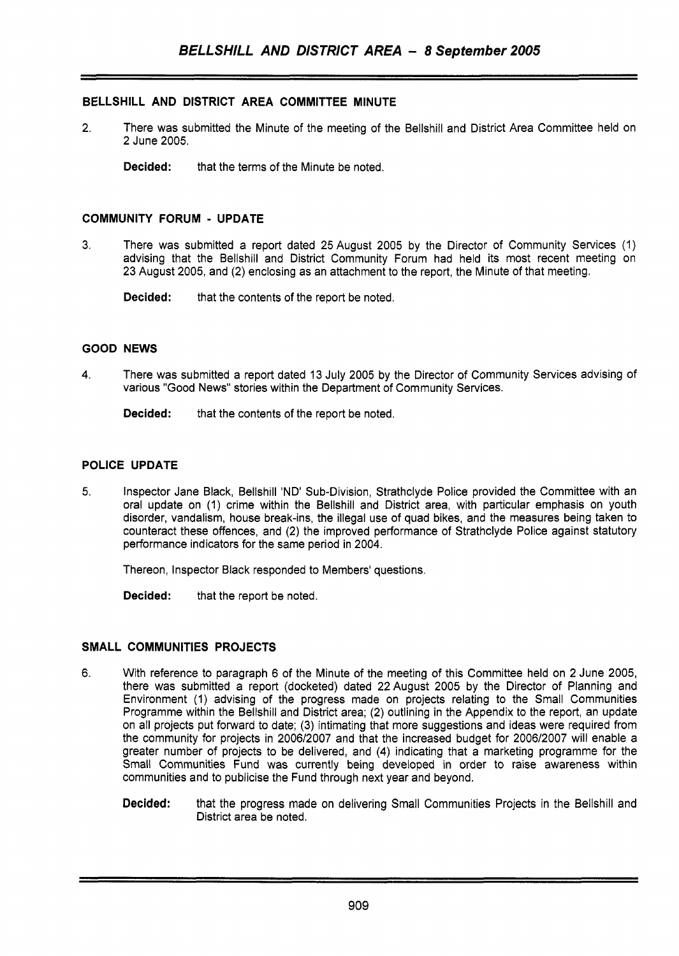## **BELLSHILL AND DISTRICT AREA COMMITTEE MINUTE**

- 2. There was submitted the Minute of the meeting of the Bellshill and District Area Committee held on 2 June 2005.
	- **Decided:** that the terms of the Minute be noted.

#### **COMMUNITY FORUM** - **UPDATE**

- 3. There was submitted a report dated 25August 2005 by the Director of Community Services (1) advising that the Bellshill and District Community Forum had held its most recent meeting on 23 August 2005, and (2) enclosing as an attachment to the report, the Minute of that meeting.
	- **Decided:** that the contents of the report be noted.

#### **GOOD NEWS**

**4.** There was submitted a report dated 13 July 2005 by the Director of Community Services advising of various "Good News" stories within the Department of Community Services.

**Decided:** that the contents of the report be noted.

## **POLICE UPDATE**

5. Inspector Jane Black, Bellshill 'ND' Sub-Division, Strathclyde Police provided the Committee with an oral update on (1) crime within the Bellshill and District area, with particular emphasis on youth disorder, vandalism, house break-ins, the illegal use of quad bikes, and the measures being taken to counteract these offences, and *(2)* the improved performance of Strathclyde Police against statutory performance indicators for the same period in 2004.

Thereon, Inspector Black responded to Members' questions.

**Decided:** that the report be noted.

#### **SMALL COMMUNITIES PROJECTS**

- 6. With reference to paragraph 6 of the Minute of the meeting of this Committee held on 2 June 2005, there was submitted a report (docketed) dated 22August 2005 by the Director of Planning and Environment (1) advising of the progress made on projects relating to the Small Communities Programme within the Bellshill and District area; (2) outlining in the Appendix to the report, an update on all projects put forward to date; (3) intimating that more suggestions and ideas were required from the community for projects in 2006/2007 and that the increased budget for 2006/2007 will enable a greater number of projects to be delivered, and **(4)** indicating that a marketing programme for the Small Communities Fund was currently being developed in order to raise awareness within communities and to publicise the Fund through next year and beyond.
	- **Decided:** that the progress made on delivering Small Communities Projects in the Bellshill and District area be noted.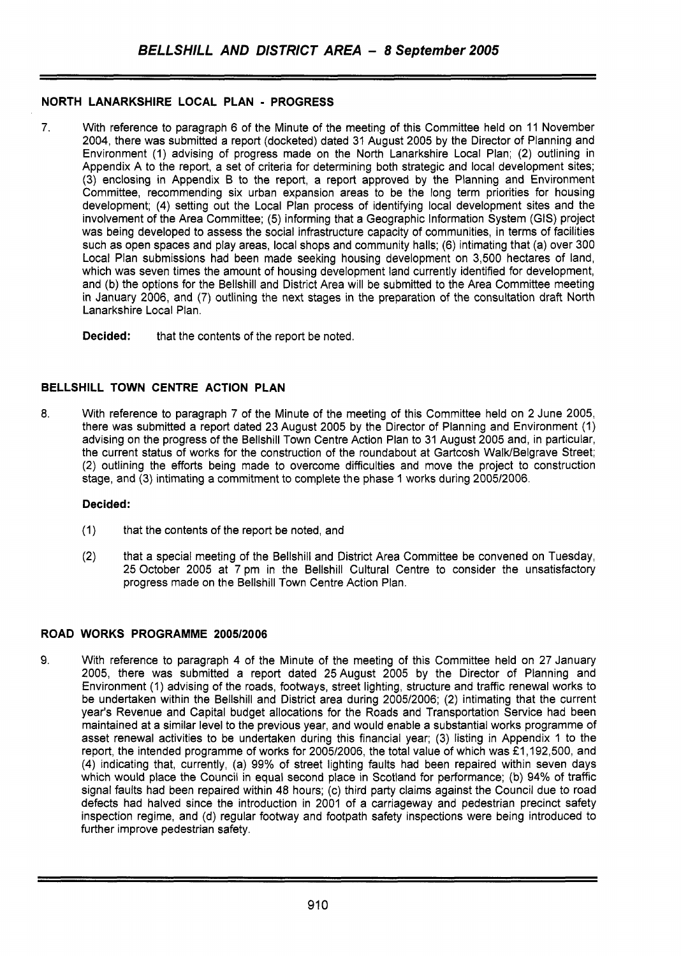# **NORTH LANARKSHIRE LOCAL PLAN** - **PROGRESS**

7. With reference to paragraph 6 of the Minute of the meeting of this Committee held on 11 November 2004, there was submitted a report (docketed) dated 31 August 2005 by the Director of Planning and Environment (1) advising of progress made on the North Lanarkshire Local Plan; (2) outlining in Appendix A to the report, a set of criteria for determining both strategic and local development sites; (3) enclosing in Appendix B to the report, a report approved by the Planning and Environment Committee, recommending six urban expansion areas to be the long term priorities for housing development; (4) setting out the Local Plan process of identifying local development sites and the involvement of the Area Committee; (5) informing that a Geographic Information System (GIS) project was being developed to assess the social infrastructure capacity of communities, in terms of facilities such as open spaces and play areas, local shops and community halls; (6) intimating that (a) over 300 Local Plan submissions had been made seeking housing development on 3,500 hectares of land, which was seven times the amount of housing development land currently identified for development. and (b) the options for the Bellshill and District Area will be submitted to the Area Committee meeting in January 2006, and (7) outlining the next stages in the preparation of the consultation draft North Lanarkshire Local Plan.

**Decided:** that the contents of the report be noted.

# **BELLSHILL TOWN CENTRE ACTION PLAN**

8. With reference to paragraph 7 of the Minute of the meeting of this Committee held on 2 June 2005, there was submitted a report dated 23 August 2005 by the Director of Planning and Environment (1) advising on the progress of the Bellshill Town Centre Action Plan to 31 August 2005 and, in particular, the current status of works for the construction of the roundabout at Gartcosh Walk/Belgrave Street; (2) outlining the efforts being made to overcome difficulties and move the project to construction stage, and (3) intimating a commitment to complete the phase 1 works during 2005/2006.

### **Decided:**

- (1) that the contents of the report be noted, and
- (2) that a special meeting of the Bellshill and District Area Committee be convened on Tuesday, 25 October 2005 at 7 pm in the Bellshill Cultural Centre to consider the unsatisfactory progress made on the Bellshill Town Centre Action Plan.

# **ROAD WORKS PROGRAMME 2005/2006**

**9.** With reference to paragraph 4 of the Minute of the meeting of this Committee held on 27 January 2005, there was submitted a report dated 25August 2005 by the Director of Planning and Environment (1) advising of the roads, footways, street lighting, structure and traffic renewal works to be undertaken within the Bellshill and District area during 2005/2006; (2) intimating that the current year's Revenue and Capital budget allocations for the Roads and Transportation Service had been maintained at a similar level to the previous year, and would enable a substantial works programme of asset renewal activities to be undertaken during this financial year; (3) listing in Appendix 1 to the report, the intended programme of works for 2005/2006, the total value of which was £1,192,500, and (4) indicating that, currently, (a) 99% of street lighting faults had been repaired within seven days which would place the Council in equal second place in Scotland for performance; (b) **94%** of traffic signal faults had been repaired within 48 hours; (c) third party claims against the Council due to road defects had halved since the introduction in 2001 of a carriageway and pedestrian precinct safety inspection regime, and (d) regular footway and footpath safety inspections were being introduced to further improve pedestrian safety.